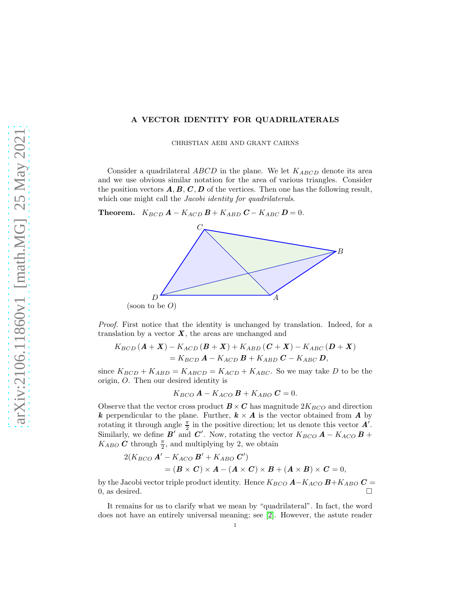## A VECTOR IDENTITY FOR QUADRILATERALS

CHRISTIAN AEBI AND GRANT CAIRNS

Consider a quadrilateral  $ABCD$  in the plane. We let  $K_{ABCD}$  denote its area and we use obvious similar notation for the area of various triangles. Consider the position vectors  $\mathbf{A}, \mathbf{B}, \mathbf{C}, \mathbf{D}$  of the vertices. Then one has the following result, which one might call the *Jacobi identity for quadrilaterals*.

Theorem.  $K_{BCD}$   $\boldsymbol{A}$  –  $K_{ACD}$   $\boldsymbol{B}$  +  $K_{ABD}$   $\boldsymbol{C}$  –  $K_{ABC}$   $\boldsymbol{D}$  = 0.



Proof. First notice that the identity is unchanged by translation. Indeed, for a translation by a vector  $\boldsymbol{X}$ , the areas are unchanged and

$$
K_{BCD}(A + X) - K_{ACD}(B + X) + K_{ABD}(C + X) - K_{ABC}(D + X)
$$
  
=  $K_{BCD}A - K_{ACD}B + K_{ABD}C - K_{ABC}D,$ 

since  $K_{BCD} + K_{ABD} = K_{ABCD} = K_{ACD} + K_{ABC}$ . So we may take D to be the origin, O. Then our desired identity is

$$
K_{BCO} \mathbf{A} - K_{ACO} \mathbf{B} + K_{ABO} \mathbf{C} = 0.
$$

Observe that the vector cross product  $\mathbf{B} \times \mathbf{C}$  has magnitude  $2K_{BCO}$  and direction k perpendicular to the plane. Further,  $k \times A$  is the vector obtained from A by rotating it through angle  $\frac{\pi}{2}$  in the positive direction; let us denote this vector  $\vec{A}$ . Similarly, we define  $\vec{B'}$  and  $\vec{C'}$ . Now, rotating the vector  $K_{BCO}$   $\vec{A} - K_{ACO}$   $\vec{B}$  +  $K_{ABO}$  C through  $\frac{\pi}{2}$ , and multiplying by 2, we obtain

$$
2(K_{BCO} \mathbf{A}' - K_{ACO} \mathbf{B}' + K_{ABO} \mathbf{C}')
$$
  
=  $(\mathbf{B} \times \mathbf{C}) \times \mathbf{A} - (\mathbf{A} \times \mathbf{C}) \times \mathbf{B} + (\mathbf{A} \times \mathbf{B}) \times \mathbf{C} = 0,$ 

by the Jacobi vector triple product identity. Hence  $K_{BCO}$  **A**− $K_{ACO}$  **B**+ $K_{ABO}$  **C** = 0, as desired.  $\Box$ 

It remains for us to clarify what we mean by "quadrilateral". In fact, the word does not have an entirely universal meaning; see [\[2\]](#page-1-0). However, the astute reader